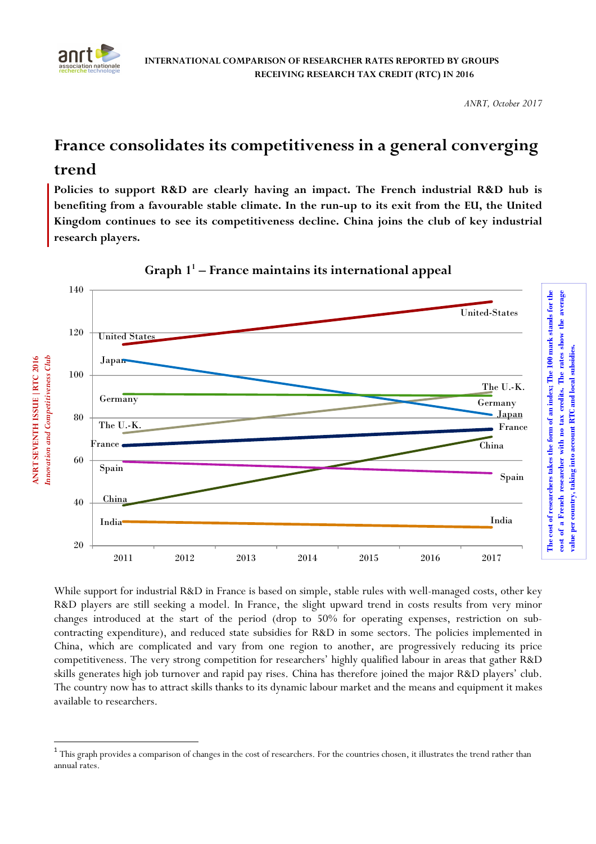

 $\overline{a}$ 

**ANRT SEVENTH ISSUE |RTC 2016**

**ANRT SEVENTH ISSUE | RTC 2016** 

*ANRT, October 2017* 

**value per country, taking into account RTC and local subsidies.** 

# **France consolidates its competitiveness in a general converging trend**

**Policies to support R&D are clearly having an impact. The French industrial R&D hub is benefiting from a favourable stable climate. In the run-up to its exit from the EU, the United Kingdom continues to see its competitiveness decline. China joins the club of key industrial research players.** 



**Graph 1<sup>1</sup> – France maintains its international appeal** 

While support for industrial R&D in France is based on simple, stable rules with well-managed costs, other key R&D players are still seeking a model. In France, the slight upward trend in costs results from very minor changes introduced at the start of the period (drop to 50% for operating expenses, restriction on subcontracting expenditure), and reduced state subsidies for R&D in some sectors. The policies implemented in China, which are complicated and vary from one region to another, are progressively reducing its price competitiveness. The very strong competition for researchers' highly qualified labour in areas that gather R&D skills generates high job turnover and rapid pay rises. China has therefore joined the major R&D players' club. The country now has to attract skills thanks to its dynamic labour market and the means and equipment it makes available to researchers.

<sup>&</sup>lt;sup>1</sup> This graph provides a comparison of changes in the cost of researchers. For the countries chosen, it illustrates the trend rather than annual rates.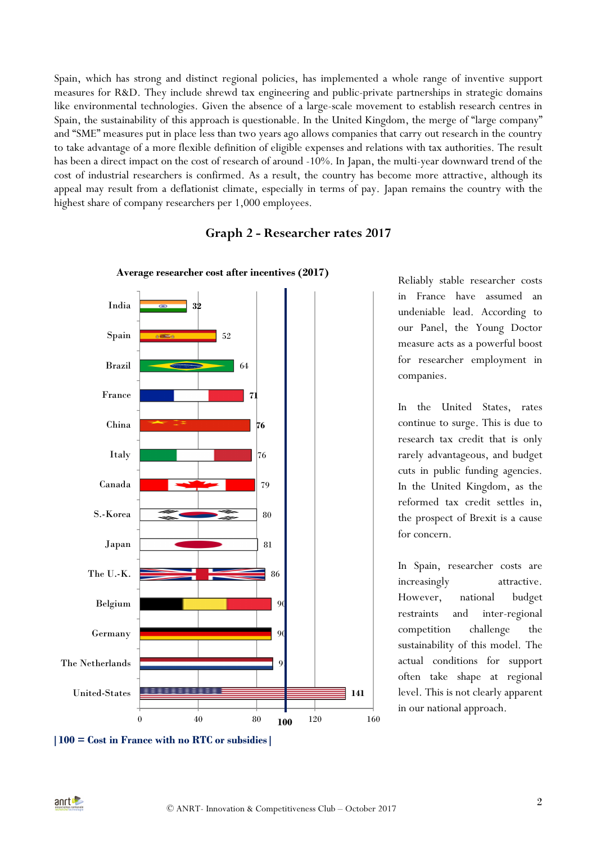Spain, which has strong and distinct regional policies, has implemented a whole range of inventive support measures for R&D. They include shrewd tax engineering and public-private partnerships in strategic domains like environmental technologies. Given the absence of a large-scale movement to establish research centres in Spain, the sustainability of this approach is questionable. In the United Kingdom, the merge of "large company" and "SME" measures put in place less than two years ago allows companies that carry out research in the country to take advantage of a more flexible definition of eligible expenses and relations with tax authorities. The result has been a direct impact on the cost of research of around -10%. In Japan, the multi-year downward trend of the cost of industrial researchers is confirmed. As a result, the country has become more attractive, although its appeal may result from a deflationist climate, especially in terms of pay. Japan remains the country with the highest share of company researchers per 1,000 employees.

# **141** 91 90  $\mathbf{Q}$ 86 81 80 79 76 **76 71** 64 52 **32** 0  $40$   $80$   $100$   $120$   $160$ United-States The Netherlands Germany Belgium The U.-K. Japan S.-Korea Canada Italy China France Brazil Spain India **Average researcher cost after incentives (2017) 100**

## **Graph 2 - Researcher rates 2017**

Reliably stable researcher costs in France have assumed an undeniable lead. According to our Panel, the Young Doctor measure acts as a powerful boost for researcher employment in companies.

In the United States, rates continue to surge. This is due to research tax credit that is only rarely advantageous, and budget cuts in public funding agencies. In the United Kingdom, as the reformed tax credit settles in, the prospect of Brexit is a cause for concern.

In Spain, researcher costs are increasingly attractive. However, national budget restraints and inter-regional competition challenge the sustainability of this model. The actual conditions for support often take shape at regional level. This is not clearly apparent in our national approach.

**<sup>|100 =</sup> Cost in France with no RTC or subsidies|**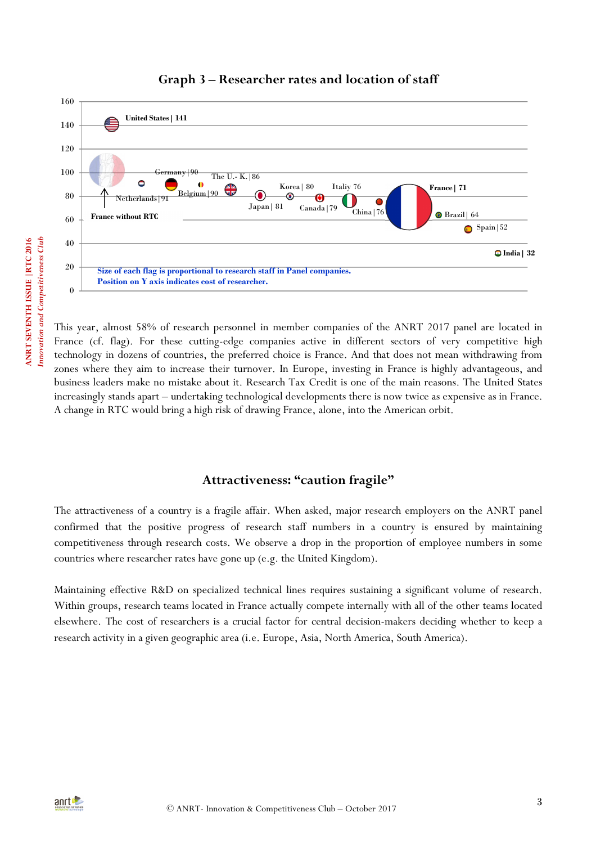

## **Graph 3 – Researcher rates and location of staff**

This year, almost 58% of research personnel in member companies of the ANRT 2017 panel are located in France (cf. flag). For these cutting-edge companies active in different sectors of very competitive high technology in dozens of countries, the preferred choice is France. And that does not mean withdrawing from zones where they aim to increase their turnover. In Europe, investing in France is highly advantageous, and business leaders make no mistake about it. Research Tax Credit is one of the main reasons. The United States increasingly stands apart – undertaking technological developments there is now twice as expensive as in France. A change in RTC would bring a high risk of drawing France, alone, into the American orbit.

## **Attractiveness: "caution fragile"**

The attractiveness of a country is a fragile affair. When asked, major research employers on the ANRT panel confirmed that the positive progress of research staff numbers in a country is ensured by maintaining competitiveness through research costs. We observe a drop in the proportion of employee numbers in some countries where researcher rates have gone up (e.g. the United Kingdom).

Maintaining effective R&D on specialized technical lines requires sustaining a significant volume of research. Within groups, research teams located in France actually compete internally with all of the other teams located elsewhere. The cost of researchers is a crucial factor for central decision-makers deciding whether to keep a research activity in a given geographic area (i.e. Europe, Asia, North America, South America).

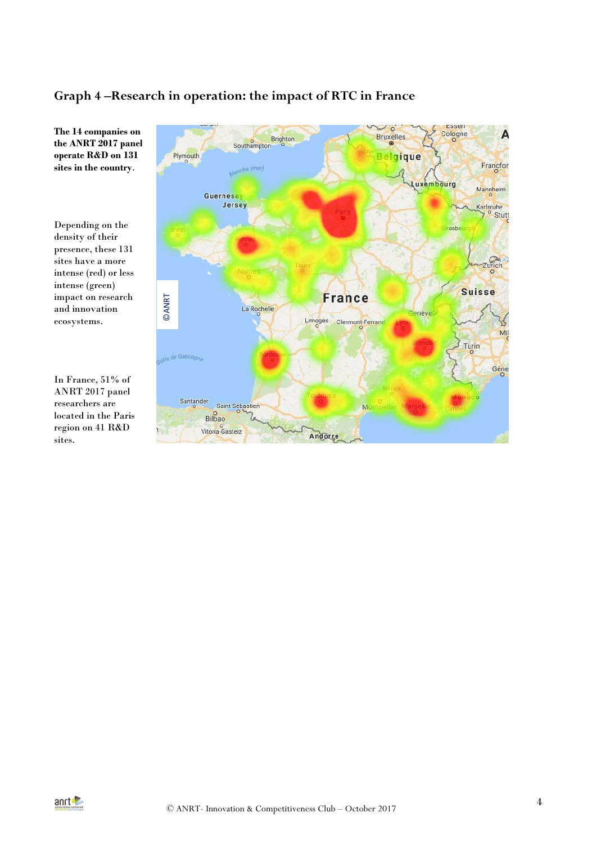# **Graph 4 –Research in operation: the impact of RTC in France**



**The 14 companies on the ANRT 2017 panel operate R&D on 131 sites in the country**.

Depending on the density of their presence, these 131 sites have a more intense (red) or less intense (green) impact on research and innovation ecosystems.

In France, 51% of ANRT 2017 panel researchers are located in the Paris region on 41 R&D sites. impact on research<br>
and innovation<br>
ecosystems.<br>
<br>
In France, 51% of<br>
ANRT 2017 panel<br>
researchers are<br>
located in the Paris<br>
region on 41 R&D<br>
sites.

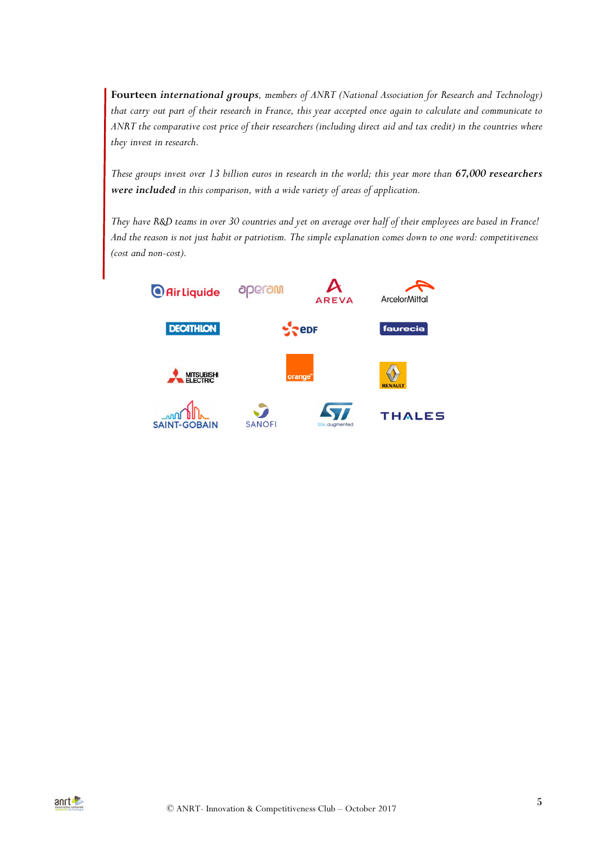**Fourteen** *international groups, members of ANRT (National Association for Research and Technology) that carry out part of their research in France, this year accepted once again to calculate and communicate to ANRT the comparative cost price of their researchers (including direct aid and tax credit) in the countries where they invest in research.* 

*These groups invest over 13 billion euros in research in the world; this year more than 67,000 researchers were included in this comparison, with a wide variety of areas of application.* 

*They have R&D teams in over 30 countries and yet on average over half of their employees are based in France! And the reason is not just habit or patriotism. The simple explanation comes down to one word: competitiveness (cost and non-cost).*